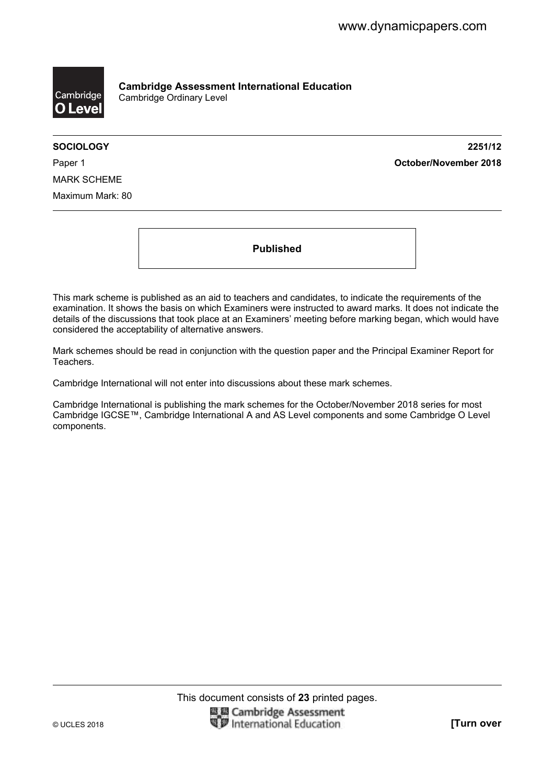

**Cambridge Assessment International Education**  Cambridge Ordinary Level

**SOCIOLOGY 2251/12**  Paper 1 **October/November 2018**

MARK SCHEME Maximum Mark: 80

**Published** 

This mark scheme is published as an aid to teachers and candidates, to indicate the requirements of the examination. It shows the basis on which Examiners were instructed to award marks. It does not indicate the details of the discussions that took place at an Examiners' meeting before marking began, which would have considered the acceptability of alternative answers.

Mark schemes should be read in conjunction with the question paper and the Principal Examiner Report for Teachers.

Cambridge International will not enter into discussions about these mark schemes.

Cambridge International is publishing the mark schemes for the October/November 2018 series for most Cambridge IGCSE™, Cambridge International A and AS Level components and some Cambridge O Level components.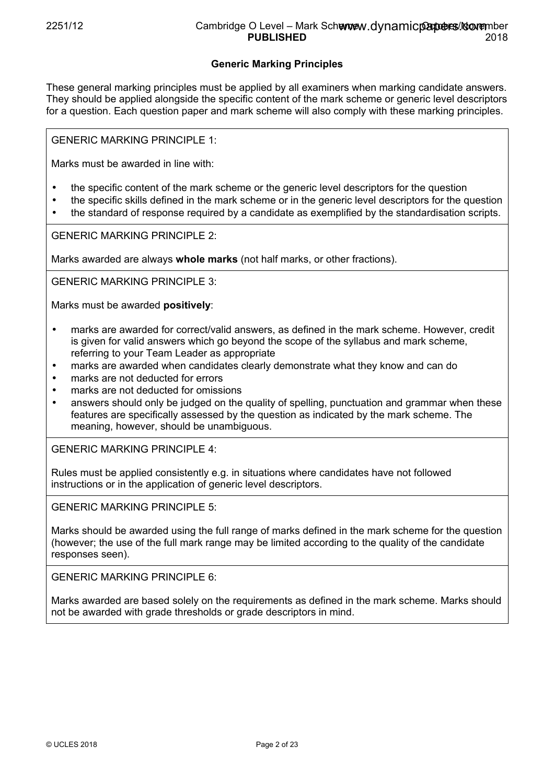## **Generic Marking Principles**

These general marking principles must be applied by all examiners when marking candidate answers. They should be applied alongside the specific content of the mark scheme or generic level descriptors for a question. Each question paper and mark scheme will also comply with these marking principles.

GENERIC MARKING PRINCIPLE 1:

Marks must be awarded in line with:

- the specific content of the mark scheme or the generic level descriptors for the question
- the specific skills defined in the mark scheme or in the generic level descriptors for the question
- the standard of response required by a candidate as exemplified by the standardisation scripts.

GENERIC MARKING PRINCIPLE 2:

Marks awarded are always **whole marks** (not half marks, or other fractions).

GENERIC MARKING PRINCIPLE 3:

Marks must be awarded **positively**:

- marks are awarded for correct/valid answers, as defined in the mark scheme. However, credit is given for valid answers which go beyond the scope of the syllabus and mark scheme, referring to your Team Leader as appropriate
- marks are awarded when candidates clearly demonstrate what they know and can do
- marks are not deducted for errors
- marks are not deducted for omissions
- answers should only be judged on the quality of spelling, punctuation and grammar when these features are specifically assessed by the question as indicated by the mark scheme. The meaning, however, should be unambiguous.

GENERIC MARKING PRINCIPLE 4:

Rules must be applied consistently e.g. in situations where candidates have not followed instructions or in the application of generic level descriptors.

GENERIC MARKING PRINCIPLE 5:

Marks should be awarded using the full range of marks defined in the mark scheme for the question (however; the use of the full mark range may be limited according to the quality of the candidate responses seen).

GENERIC MARKING PRINCIPLE 6:

Marks awarded are based solely on the requirements as defined in the mark scheme. Marks should not be awarded with grade thresholds or grade descriptors in mind.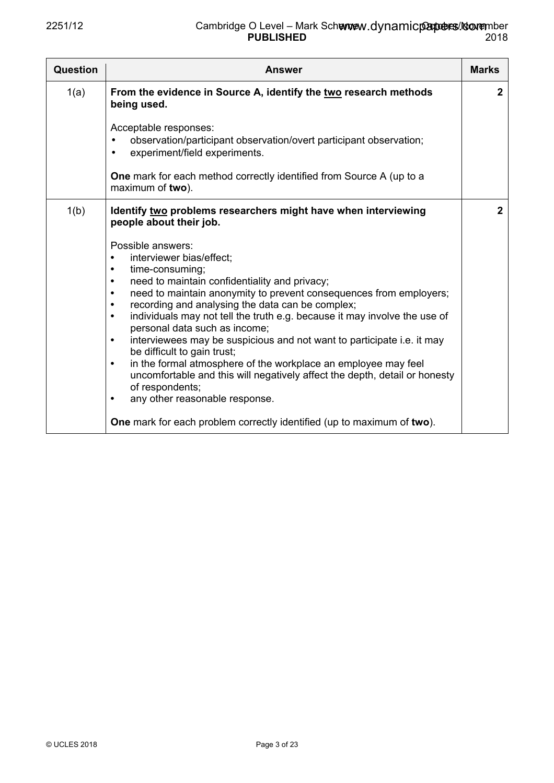| Question | <b>Answer</b>                                                                                                                                                                                                                                                                                                                                                                                                                                                                                                                                                                                                                                                                                                                                                                                                                                                                                                                                                       | <b>Marks</b> |
|----------|---------------------------------------------------------------------------------------------------------------------------------------------------------------------------------------------------------------------------------------------------------------------------------------------------------------------------------------------------------------------------------------------------------------------------------------------------------------------------------------------------------------------------------------------------------------------------------------------------------------------------------------------------------------------------------------------------------------------------------------------------------------------------------------------------------------------------------------------------------------------------------------------------------------------------------------------------------------------|--------------|
| 1(a)     | From the evidence in Source A, identify the two research methods<br>being used.<br>Acceptable responses:<br>observation/participant observation/overt participant observation;<br>experiment/field experiments.<br>$\bullet$                                                                                                                                                                                                                                                                                                                                                                                                                                                                                                                                                                                                                                                                                                                                        | $\mathbf{2}$ |
|          | <b>One</b> mark for each method correctly identified from Source A (up to a<br>maximum of two).                                                                                                                                                                                                                                                                                                                                                                                                                                                                                                                                                                                                                                                                                                                                                                                                                                                                     |              |
| 1(b)     | Identify two problems researchers might have when interviewing<br>people about their job.<br>Possible answers:<br>interviewer bias/effect;<br>$\bullet$<br>time-consuming;<br>$\bullet$<br>need to maintain confidentiality and privacy;<br>$\bullet$<br>need to maintain anonymity to prevent consequences from employers;<br>$\bullet$<br>recording and analysing the data can be complex;<br>$\bullet$<br>individuals may not tell the truth e.g. because it may involve the use of<br>$\bullet$<br>personal data such as income;<br>interviewees may be suspicious and not want to participate i.e. it may<br>$\bullet$<br>be difficult to gain trust;<br>in the formal atmosphere of the workplace an employee may feel<br>$\bullet$<br>uncomfortable and this will negatively affect the depth, detail or honesty<br>of respondents;<br>any other reasonable response.<br>$\bullet$<br>One mark for each problem correctly identified (up to maximum of two). | $\mathbf{2}$ |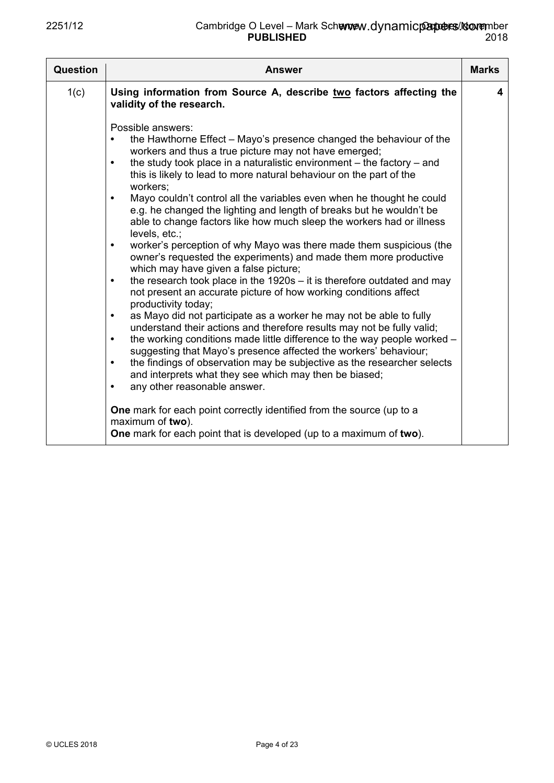| <b>Question</b> | <b>Answer</b>                                                                                                                                                                                                                                                                                                                                                                                                                                                                                                                                                                                                                                                                                                                                                                                                                                                                                                                                                                                                                                                                                                                                                                                                                                                                                                                                                                                                                                                                                                                                                                 | <b>Marks</b> |
|-----------------|-------------------------------------------------------------------------------------------------------------------------------------------------------------------------------------------------------------------------------------------------------------------------------------------------------------------------------------------------------------------------------------------------------------------------------------------------------------------------------------------------------------------------------------------------------------------------------------------------------------------------------------------------------------------------------------------------------------------------------------------------------------------------------------------------------------------------------------------------------------------------------------------------------------------------------------------------------------------------------------------------------------------------------------------------------------------------------------------------------------------------------------------------------------------------------------------------------------------------------------------------------------------------------------------------------------------------------------------------------------------------------------------------------------------------------------------------------------------------------------------------------------------------------------------------------------------------------|--------------|
| 1(c)            | Using information from Source A, describe two factors affecting the<br>validity of the research.                                                                                                                                                                                                                                                                                                                                                                                                                                                                                                                                                                                                                                                                                                                                                                                                                                                                                                                                                                                                                                                                                                                                                                                                                                                                                                                                                                                                                                                                              | 4            |
|                 | Possible answers:<br>the Hawthorne Effect – Mayo's presence changed the behaviour of the<br>٠<br>workers and thus a true picture may not have emerged;<br>the study took place in a naturalistic environment $-$ the factory $-$ and<br>$\bullet$<br>this is likely to lead to more natural behaviour on the part of the<br>workers:<br>Mayo couldn't control all the variables even when he thought he could<br>$\bullet$<br>e.g. he changed the lighting and length of breaks but he wouldn't be<br>able to change factors like how much sleep the workers had or illness<br>levels, etc.;<br>worker's perception of why Mayo was there made them suspicious (the<br>$\bullet$<br>owner's requested the experiments) and made them more productive<br>which may have given a false picture;<br>the research took place in the $1920s - it$ is therefore outdated and may<br>$\bullet$<br>not present an accurate picture of how working conditions affect<br>productivity today;<br>as Mayo did not participate as a worker he may not be able to fully<br>$\bullet$<br>understand their actions and therefore results may not be fully valid;<br>the working conditions made little difference to the way people worked -<br>$\bullet$<br>suggesting that Mayo's presence affected the workers' behaviour;<br>the findings of observation may be subjective as the researcher selects<br>$\bullet$<br>and interprets what they see which may then be biased;<br>any other reasonable answer.<br>٠<br>One mark for each point correctly identified from the source (up to a |              |
|                 | maximum of two).<br><b>One</b> mark for each point that is developed (up to a maximum of two).                                                                                                                                                                                                                                                                                                                                                                                                                                                                                                                                                                                                                                                                                                                                                                                                                                                                                                                                                                                                                                                                                                                                                                                                                                                                                                                                                                                                                                                                                |              |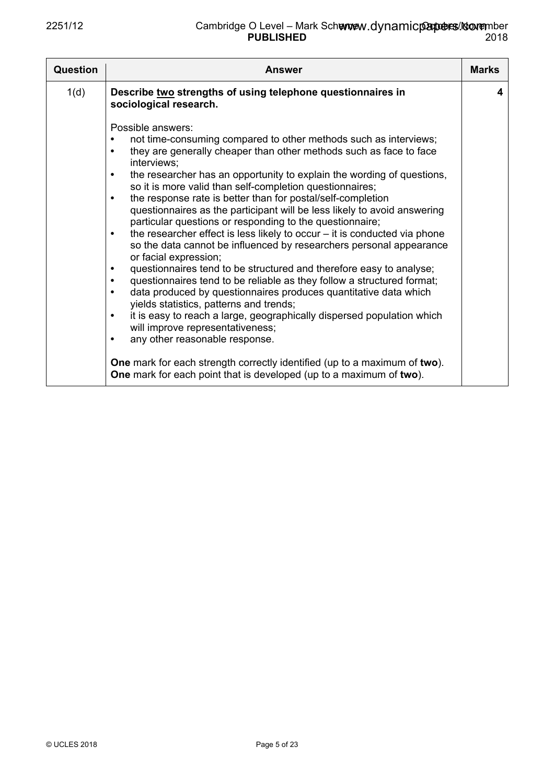| <b>Question</b> | <b>Answer</b>                                                                                                                                                                                                                                                                                                                                                                                                                                                                                                                                                                                                                                                                                                                                                                                                                                                                                                                                                                                                                                                                                                                                                                                                                               | <b>Marks</b> |
|-----------------|---------------------------------------------------------------------------------------------------------------------------------------------------------------------------------------------------------------------------------------------------------------------------------------------------------------------------------------------------------------------------------------------------------------------------------------------------------------------------------------------------------------------------------------------------------------------------------------------------------------------------------------------------------------------------------------------------------------------------------------------------------------------------------------------------------------------------------------------------------------------------------------------------------------------------------------------------------------------------------------------------------------------------------------------------------------------------------------------------------------------------------------------------------------------------------------------------------------------------------------------|--------------|
| 1(d)            | Describe two strengths of using telephone questionnaires in<br>sociological research.                                                                                                                                                                                                                                                                                                                                                                                                                                                                                                                                                                                                                                                                                                                                                                                                                                                                                                                                                                                                                                                                                                                                                       | 4            |
|                 | Possible answers:<br>not time-consuming compared to other methods such as interviews;<br>they are generally cheaper than other methods such as face to face<br>$\bullet$<br>interviews:<br>the researcher has an opportunity to explain the wording of questions,<br>$\bullet$<br>so it is more valid than self-completion questionnaires;<br>the response rate is better than for postal/self-completion<br>$\bullet$<br>questionnaires as the participant will be less likely to avoid answering<br>particular questions or responding to the questionnaire;<br>the researcher effect is less likely to occur $-$ it is conducted via phone<br>$\bullet$<br>so the data cannot be influenced by researchers personal appearance<br>or facial expression;<br>questionnaires tend to be structured and therefore easy to analyse;<br>$\bullet$<br>questionnaires tend to be reliable as they follow a structured format;<br>$\bullet$<br>data produced by questionnaires produces quantitative data which<br>$\bullet$<br>yields statistics, patterns and trends;<br>it is easy to reach a large, geographically dispersed population which<br>$\bullet$<br>will improve representativeness;<br>any other reasonable response.<br>$\bullet$ |              |
|                 | <b>One</b> mark for each strength correctly identified (up to a maximum of two).<br>One mark for each point that is developed (up to a maximum of two).                                                                                                                                                                                                                                                                                                                                                                                                                                                                                                                                                                                                                                                                                                                                                                                                                                                                                                                                                                                                                                                                                     |              |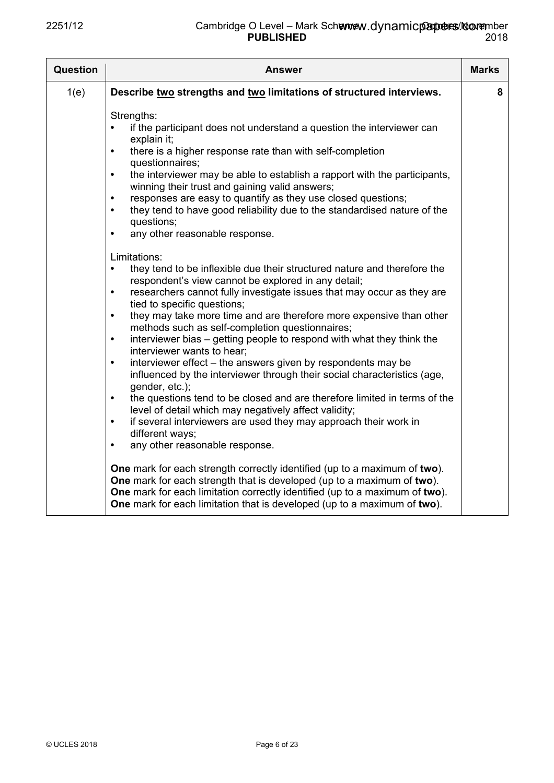| <b>Question</b> | <b>Answer</b>                                                                                                                                                                                                                                                                                                                                                                                                                                                                                                                                                                                                                                                                                                                                                                                                                                                                                                                                                                                                                                                                                                                                                                                                                                                                                                                                                                                                                                                                                                                                                                                                                                                                                                                                                                        | <b>Marks</b> |
|-----------------|--------------------------------------------------------------------------------------------------------------------------------------------------------------------------------------------------------------------------------------------------------------------------------------------------------------------------------------------------------------------------------------------------------------------------------------------------------------------------------------------------------------------------------------------------------------------------------------------------------------------------------------------------------------------------------------------------------------------------------------------------------------------------------------------------------------------------------------------------------------------------------------------------------------------------------------------------------------------------------------------------------------------------------------------------------------------------------------------------------------------------------------------------------------------------------------------------------------------------------------------------------------------------------------------------------------------------------------------------------------------------------------------------------------------------------------------------------------------------------------------------------------------------------------------------------------------------------------------------------------------------------------------------------------------------------------------------------------------------------------------------------------------------------------|--------------|
| 1(e)            | Describe two strengths and two limitations of structured interviews.                                                                                                                                                                                                                                                                                                                                                                                                                                                                                                                                                                                                                                                                                                                                                                                                                                                                                                                                                                                                                                                                                                                                                                                                                                                                                                                                                                                                                                                                                                                                                                                                                                                                                                                 | 8            |
|                 | Strengths:<br>if the participant does not understand a question the interviewer can<br>$\bullet$<br>explain it;<br>there is a higher response rate than with self-completion<br>$\bullet$<br>questionnaires;<br>the interviewer may be able to establish a rapport with the participants,<br>$\bullet$<br>winning their trust and gaining valid answers;<br>responses are easy to quantify as they use closed questions;<br>$\bullet$<br>they tend to have good reliability due to the standardised nature of the<br>$\bullet$<br>questions;<br>any other reasonable response.<br>$\bullet$<br>Limitations:<br>they tend to be inflexible due their structured nature and therefore the<br>$\bullet$<br>respondent's view cannot be explored in any detail;<br>researchers cannot fully investigate issues that may occur as they are<br>$\bullet$<br>tied to specific questions;<br>they may take more time and are therefore more expensive than other<br>$\bullet$<br>methods such as self-completion questionnaires;<br>interviewer bias – getting people to respond with what they think the<br>$\bullet$<br>interviewer wants to hear;<br>interviewer effect – the answers given by respondents may be<br>$\bullet$<br>influenced by the interviewer through their social characteristics (age,<br>gender, etc.);<br>the questions tend to be closed and are therefore limited in terms of the<br>$\bullet$<br>level of detail which may negatively affect validity;<br>if several interviewers are used they may approach their work in<br>$\bullet$<br>different ways;<br>any other reasonable response.<br>$\bullet$<br>One mark for each strength correctly identified (up to a maximum of two).<br>One mark for each strength that is developed (up to a maximum of two). |              |
|                 | One mark for each limitation correctly identified (up to a maximum of two).<br>One mark for each limitation that is developed (up to a maximum of two).                                                                                                                                                                                                                                                                                                                                                                                                                                                                                                                                                                                                                                                                                                                                                                                                                                                                                                                                                                                                                                                                                                                                                                                                                                                                                                                                                                                                                                                                                                                                                                                                                              |              |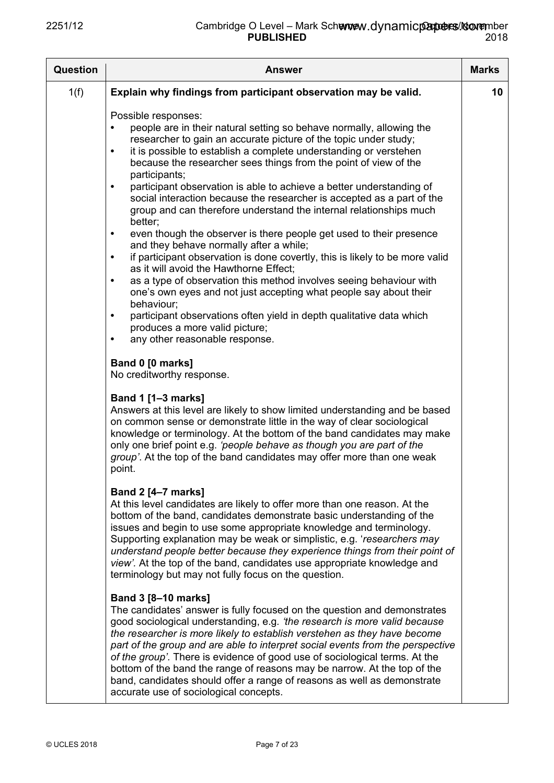| <b>Question</b> | <b>Answer</b>                                                                                                                                                                                                                                                                                                                                                                                                                                                                                                                                                                                                                                                                                                                                                                                                                                                                                                                                                                                                                                                                                                                                                                                                                                                                                                                                                                                                                                                                                                                                                                                                                                                                     | <b>Marks</b> |
|-----------------|-----------------------------------------------------------------------------------------------------------------------------------------------------------------------------------------------------------------------------------------------------------------------------------------------------------------------------------------------------------------------------------------------------------------------------------------------------------------------------------------------------------------------------------------------------------------------------------------------------------------------------------------------------------------------------------------------------------------------------------------------------------------------------------------------------------------------------------------------------------------------------------------------------------------------------------------------------------------------------------------------------------------------------------------------------------------------------------------------------------------------------------------------------------------------------------------------------------------------------------------------------------------------------------------------------------------------------------------------------------------------------------------------------------------------------------------------------------------------------------------------------------------------------------------------------------------------------------------------------------------------------------------------------------------------------------|--------------|
| 1(f)            | Explain why findings from participant observation may be valid.                                                                                                                                                                                                                                                                                                                                                                                                                                                                                                                                                                                                                                                                                                                                                                                                                                                                                                                                                                                                                                                                                                                                                                                                                                                                                                                                                                                                                                                                                                                                                                                                                   | 10           |
|                 | Possible responses:<br>people are in their natural setting so behave normally, allowing the<br>researcher to gain an accurate picture of the topic under study;<br>it is possible to establish a complete understanding or verstehen<br>$\bullet$<br>because the researcher sees things from the point of view of the<br>participants;<br>participant observation is able to achieve a better understanding of<br>$\bullet$<br>social interaction because the researcher is accepted as a part of the<br>group and can therefore understand the internal relationships much<br>better;<br>even though the observer is there people get used to their presence<br>$\bullet$<br>and they behave normally after a while;<br>if participant observation is done covertly, this is likely to be more valid<br>$\bullet$<br>as it will avoid the Hawthorne Effect;<br>as a type of observation this method involves seeing behaviour with<br>$\bullet$<br>one's own eyes and not just accepting what people say about their<br>behaviour;<br>participant observations often yield in depth qualitative data which<br>$\bullet$<br>produces a more valid picture;<br>any other reasonable response.<br>٠<br>Band 0 [0 marks]<br>No creditworthy response.<br><b>Band 1 [1-3 marks]</b><br>Answers at this level are likely to show limited understanding and be based<br>on common sense or demonstrate little in the way of clear sociological<br>knowledge or terminology. At the bottom of the band candidates may make<br>only one brief point e.g. 'people behave as though you are part of the<br>group'. At the top of the band candidates may offer more than one weak<br>point. |              |
|                 | <b>Band 2 [4–7 marks]</b><br>At this level candidates are likely to offer more than one reason. At the<br>bottom of the band, candidates demonstrate basic understanding of the<br>issues and begin to use some appropriate knowledge and terminology.<br>Supporting explanation may be weak or simplistic, e.g. 'researchers may<br>understand people better because they experience things from their point of<br>view'. At the top of the band, candidates use appropriate knowledge and<br>terminology but may not fully focus on the question.                                                                                                                                                                                                                                                                                                                                                                                                                                                                                                                                                                                                                                                                                                                                                                                                                                                                                                                                                                                                                                                                                                                               |              |
|                 | <b>Band 3 [8-10 marks]</b><br>The candidates' answer is fully focused on the question and demonstrates<br>good sociological understanding, e.g. 'the research is more valid because<br>the researcher is more likely to establish verstehen as they have become<br>part of the group and are able to interpret social events from the perspective<br>of the group'. There is evidence of good use of sociological terms. At the<br>bottom of the band the range of reasons may be narrow. At the top of the<br>band, candidates should offer a range of reasons as well as demonstrate<br>accurate use of sociological concepts.                                                                                                                                                                                                                                                                                                                                                                                                                                                                                                                                                                                                                                                                                                                                                                                                                                                                                                                                                                                                                                                  |              |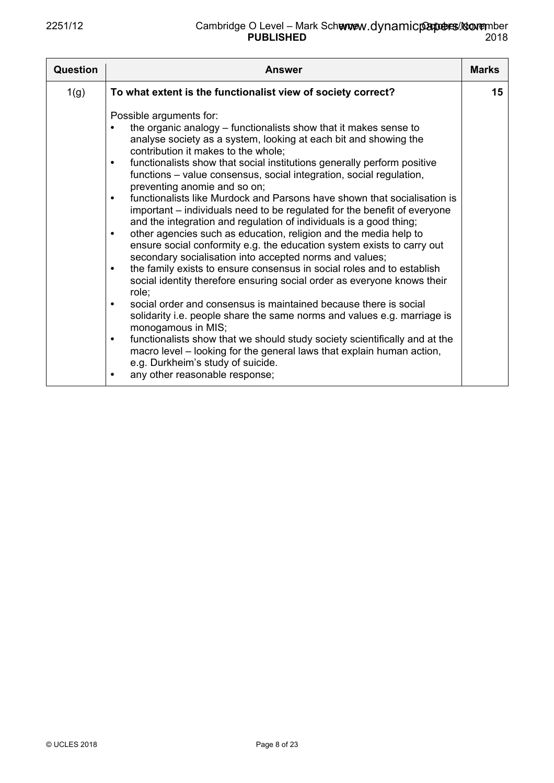| <b>Question</b> | Answer                                                                                                                                                                                                                                                                                                                                                                                                                                                                                                                                                                                                                                                                                                                                                                                                                                                                                                                                                                                                                                                                                                                                                                                                                                                                                                                                                                                                                                                                                      | <b>Marks</b> |
|-----------------|---------------------------------------------------------------------------------------------------------------------------------------------------------------------------------------------------------------------------------------------------------------------------------------------------------------------------------------------------------------------------------------------------------------------------------------------------------------------------------------------------------------------------------------------------------------------------------------------------------------------------------------------------------------------------------------------------------------------------------------------------------------------------------------------------------------------------------------------------------------------------------------------------------------------------------------------------------------------------------------------------------------------------------------------------------------------------------------------------------------------------------------------------------------------------------------------------------------------------------------------------------------------------------------------------------------------------------------------------------------------------------------------------------------------------------------------------------------------------------------------|--------------|
| 1(g)            | To what extent is the functionalist view of society correct?                                                                                                                                                                                                                                                                                                                                                                                                                                                                                                                                                                                                                                                                                                                                                                                                                                                                                                                                                                                                                                                                                                                                                                                                                                                                                                                                                                                                                                | 15           |
|                 | Possible arguments for:<br>the organic analogy – functionalists show that it makes sense to<br>analyse society as a system, looking at each bit and showing the<br>contribution it makes to the whole;<br>functionalists show that social institutions generally perform positive<br>$\bullet$<br>functions – value consensus, social integration, social regulation,<br>preventing anomie and so on;<br>functionalists like Murdock and Parsons have shown that socialisation is<br>$\bullet$<br>important – individuals need to be regulated for the benefit of everyone<br>and the integration and regulation of individuals is a good thing;<br>other agencies such as education, religion and the media help to<br>$\bullet$<br>ensure social conformity e.g. the education system exists to carry out<br>secondary socialisation into accepted norms and values;<br>the family exists to ensure consensus in social roles and to establish<br>$\bullet$<br>social identity therefore ensuring social order as everyone knows their<br>role:<br>social order and consensus is maintained because there is social<br>$\bullet$<br>solidarity i.e. people share the same norms and values e.g. marriage is<br>monogamous in MIS;<br>functionalists show that we should study society scientifically and at the<br>$\bullet$<br>macro level – looking for the general laws that explain human action,<br>e.g. Durkheim's study of suicide.<br>any other reasonable response;<br>$\bullet$ |              |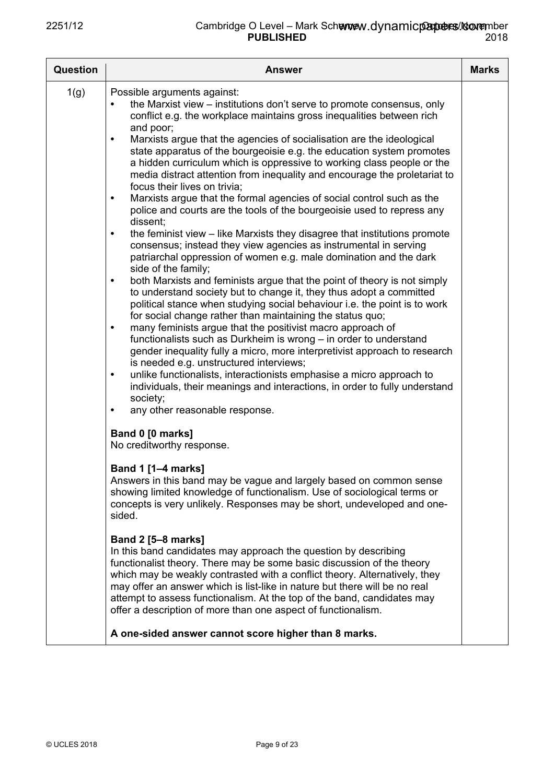| <b>Question</b> | <b>Answer</b>                                                                                                                                                                                                                                                                                                                                                                                                                                                                                                                                                                                                                                                                                                                                                                                                                                                                                                                                                                                                                                                                                                                                                                                                                                                                                                                                                                                                                                                                                                                                                                                                                                                                                                                                                                                                                                                                                                                                                                                                                                                                                                                                                                                                                                                                                                                                                                                                                                                                                                                                                                                                                                                   | <b>Marks</b> |
|-----------------|-----------------------------------------------------------------------------------------------------------------------------------------------------------------------------------------------------------------------------------------------------------------------------------------------------------------------------------------------------------------------------------------------------------------------------------------------------------------------------------------------------------------------------------------------------------------------------------------------------------------------------------------------------------------------------------------------------------------------------------------------------------------------------------------------------------------------------------------------------------------------------------------------------------------------------------------------------------------------------------------------------------------------------------------------------------------------------------------------------------------------------------------------------------------------------------------------------------------------------------------------------------------------------------------------------------------------------------------------------------------------------------------------------------------------------------------------------------------------------------------------------------------------------------------------------------------------------------------------------------------------------------------------------------------------------------------------------------------------------------------------------------------------------------------------------------------------------------------------------------------------------------------------------------------------------------------------------------------------------------------------------------------------------------------------------------------------------------------------------------------------------------------------------------------------------------------------------------------------------------------------------------------------------------------------------------------------------------------------------------------------------------------------------------------------------------------------------------------------------------------------------------------------------------------------------------------------------------------------------------------------------------------------------------------|--------------|
| 1(g)            | Possible arguments against:<br>the Marxist view – institutions don't serve to promote consensus, only<br>conflict e.g. the workplace maintains gross inequalities between rich<br>and poor;<br>Marxists argue that the agencies of socialisation are the ideological<br>$\bullet$<br>state apparatus of the bourgeoisie e.g. the education system promotes<br>a hidden curriculum which is oppressive to working class people or the<br>media distract attention from inequality and encourage the proletariat to<br>focus their lives on trivia;<br>Marxists argue that the formal agencies of social control such as the<br>$\bullet$<br>police and courts are the tools of the bourgeoisie used to repress any<br>dissent;<br>the feminist view – like Marxists they disagree that institutions promote<br>$\bullet$<br>consensus; instead they view agencies as instrumental in serving<br>patriarchal oppression of women e.g. male domination and the dark<br>side of the family;<br>both Marxists and feminists argue that the point of theory is not simply<br>$\bullet$<br>to understand society but to change it, they thus adopt a committed<br>political stance when studying social behaviour i.e. the point is to work<br>for social change rather than maintaining the status quo;<br>many feminists argue that the positivist macro approach of<br>$\bullet$<br>functionalists such as Durkheim is wrong - in order to understand<br>gender inequality fully a micro, more interpretivist approach to research<br>is needed e.g. unstructured interviews;<br>unlike functionalists, interactionists emphasise a micro approach to<br>$\bullet$<br>individuals, their meanings and interactions, in order to fully understand<br>society;<br>any other reasonable response.<br>٠<br>Band 0 [0 marks]<br>No creditworthy response.<br><b>Band 1 [1–4 marks]</b><br>Answers in this band may be vague and largely based on common sense<br>showing limited knowledge of functionalism. Use of sociological terms or<br>concepts is very unlikely. Responses may be short, undeveloped and one-<br>sided.<br><b>Band 2 [5-8 marks]</b><br>In this band candidates may approach the question by describing<br>functionalist theory. There may be some basic discussion of the theory<br>which may be weakly contrasted with a conflict theory. Alternatively, they<br>may offer an answer which is list-like in nature but there will be no real<br>attempt to assess functionalism. At the top of the band, candidates may<br>offer a description of more than one aspect of functionalism.<br>A one-sided answer cannot score higher than 8 marks. |              |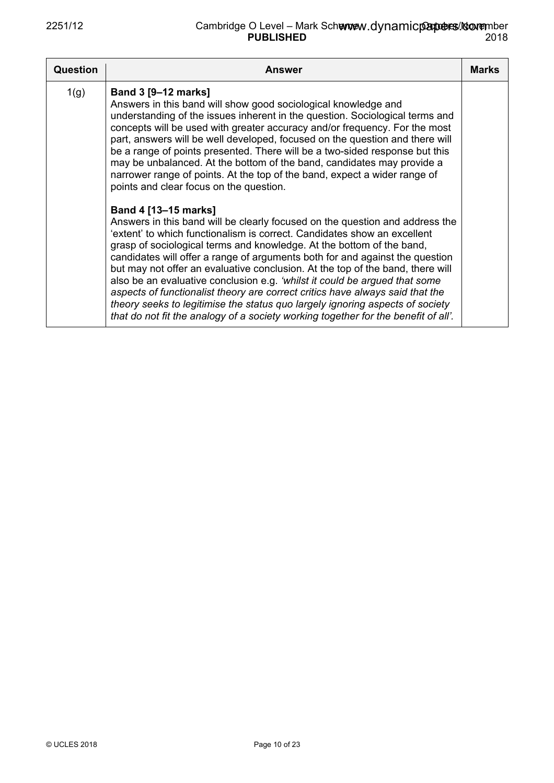| Question | <b>Answer</b>                                                                                                                                                                                                                                                                                                                                                                                                                                                                                                                                                                                                                                                                                                                                                     | <b>Marks</b> |
|----------|-------------------------------------------------------------------------------------------------------------------------------------------------------------------------------------------------------------------------------------------------------------------------------------------------------------------------------------------------------------------------------------------------------------------------------------------------------------------------------------------------------------------------------------------------------------------------------------------------------------------------------------------------------------------------------------------------------------------------------------------------------------------|--------------|
| 1(g)     | <b>Band 3 [9–12 marks]</b><br>Answers in this band will show good sociological knowledge and<br>understanding of the issues inherent in the question. Sociological terms and<br>concepts will be used with greater accuracy and/or frequency. For the most<br>part, answers will be well developed, focused on the question and there will<br>be a range of points presented. There will be a two-sided response but this<br>may be unbalanced. At the bottom of the band, candidates may provide a<br>narrower range of points. At the top of the band, expect a wider range of<br>points and clear focus on the question.                                                                                                                                       |              |
|          | Band 4 [13-15 marks]<br>Answers in this band will be clearly focused on the question and address the<br>'extent' to which functionalism is correct. Candidates show an excellent<br>grasp of sociological terms and knowledge. At the bottom of the band,<br>candidates will offer a range of arguments both for and against the question<br>but may not offer an evaluative conclusion. At the top of the band, there will<br>also be an evaluative conclusion e.g. 'whilst it could be argued that some<br>aspects of functionalist theory are correct critics have always said that the<br>theory seeks to legitimise the status quo largely ignoring aspects of society<br>that do not fit the analogy of a society working together for the benefit of all'. |              |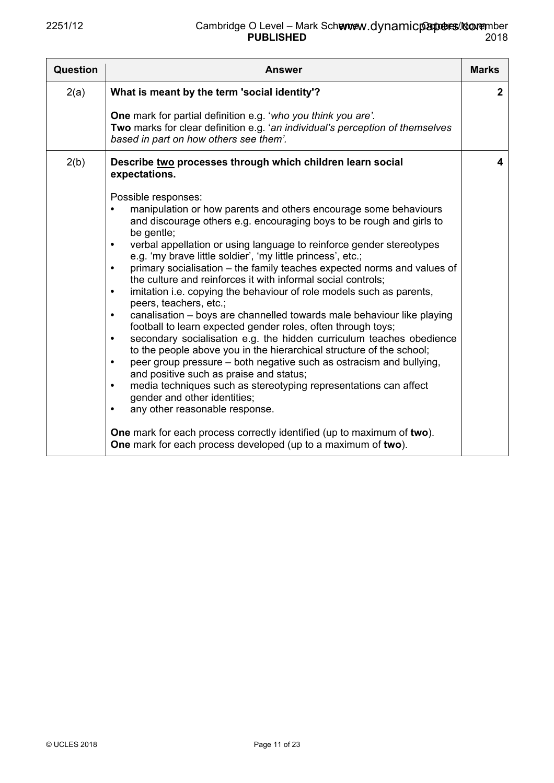| <b>Question</b> | Answer                                                                                                                                                                                                                                                                                                                                                                                                                                                                                                                                                                                                                                                                                                                                                                                                                                                                                                                                                                                                                                                                                                                                                                                                                                                                                                                                                                                                                                                | <b>Marks</b> |
|-----------------|-------------------------------------------------------------------------------------------------------------------------------------------------------------------------------------------------------------------------------------------------------------------------------------------------------------------------------------------------------------------------------------------------------------------------------------------------------------------------------------------------------------------------------------------------------------------------------------------------------------------------------------------------------------------------------------------------------------------------------------------------------------------------------------------------------------------------------------------------------------------------------------------------------------------------------------------------------------------------------------------------------------------------------------------------------------------------------------------------------------------------------------------------------------------------------------------------------------------------------------------------------------------------------------------------------------------------------------------------------------------------------------------------------------------------------------------------------|--------------|
| 2(a)            | What is meant by the term 'social identity'?                                                                                                                                                                                                                                                                                                                                                                                                                                                                                                                                                                                                                                                                                                                                                                                                                                                                                                                                                                                                                                                                                                                                                                                                                                                                                                                                                                                                          | $\mathbf{2}$ |
|                 | One mark for partial definition e.g. 'who you think you are'.<br>Two marks for clear definition e.g. 'an individual's perception of themselves<br>based in part on how others see them'.                                                                                                                                                                                                                                                                                                                                                                                                                                                                                                                                                                                                                                                                                                                                                                                                                                                                                                                                                                                                                                                                                                                                                                                                                                                              |              |
| 2(b)            | Describe two processes through which children learn social<br>expectations.<br>Possible responses:<br>manipulation or how parents and others encourage some behaviours<br>and discourage others e.g. encouraging boys to be rough and girls to<br>be gentle;<br>verbal appellation or using language to reinforce gender stereotypes<br>$\bullet$<br>e.g. 'my brave little soldier', 'my little princess', etc.;<br>primary socialisation - the family teaches expected norms and values of<br>$\bullet$<br>the culture and reinforces it with informal social controls;<br>imitation i.e. copying the behaviour of role models such as parents,<br>$\bullet$<br>peers, teachers, etc.;<br>canalisation – boys are channelled towards male behaviour like playing<br>$\bullet$<br>football to learn expected gender roles, often through toys;<br>secondary socialisation e.g. the hidden curriculum teaches obedience<br>$\bullet$<br>to the people above you in the hierarchical structure of the school;<br>peer group pressure – both negative such as ostracism and bullying,<br>$\bullet$<br>and positive such as praise and status;<br>media techniques such as stereotyping representations can affect<br>$\bullet$<br>gender and other identities;<br>any other reasonable response.<br>$\bullet$<br>One mark for each process correctly identified (up to maximum of two).<br>One mark for each process developed (up to a maximum of two). | 4            |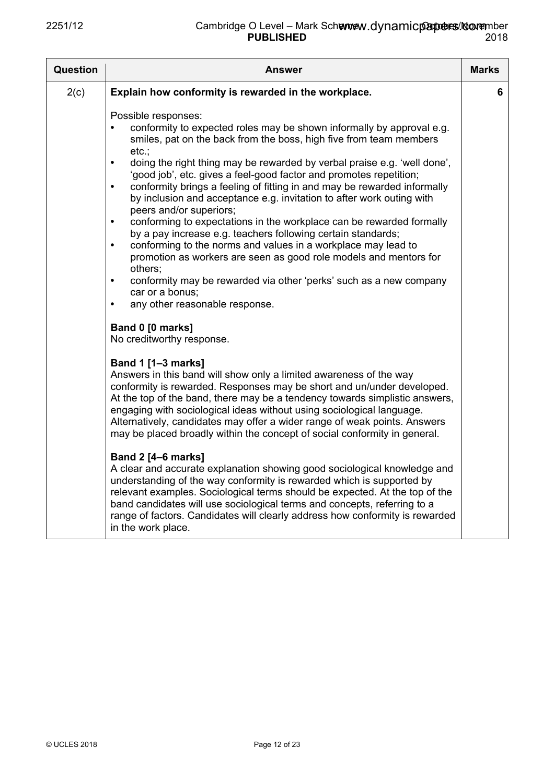| Question | <b>Answer</b>                                                                                                                                                                                                                                                                                                                                                                                                                                                                                                                                                                                                                                                                                                                                                                                                                                                                                                                                                                                                                                                                                                                                                                                                                                                                                                                                                                                                                                                                                                                                                                                                                                                                                                                                                                                                                                                                                                                                                                                                      | <b>Marks</b> |
|----------|--------------------------------------------------------------------------------------------------------------------------------------------------------------------------------------------------------------------------------------------------------------------------------------------------------------------------------------------------------------------------------------------------------------------------------------------------------------------------------------------------------------------------------------------------------------------------------------------------------------------------------------------------------------------------------------------------------------------------------------------------------------------------------------------------------------------------------------------------------------------------------------------------------------------------------------------------------------------------------------------------------------------------------------------------------------------------------------------------------------------------------------------------------------------------------------------------------------------------------------------------------------------------------------------------------------------------------------------------------------------------------------------------------------------------------------------------------------------------------------------------------------------------------------------------------------------------------------------------------------------------------------------------------------------------------------------------------------------------------------------------------------------------------------------------------------------------------------------------------------------------------------------------------------------------------------------------------------------------------------------------------------------|--------------|
| 2(c)     | Explain how conformity is rewarded in the workplace.                                                                                                                                                                                                                                                                                                                                                                                                                                                                                                                                                                                                                                                                                                                                                                                                                                                                                                                                                                                                                                                                                                                                                                                                                                                                                                                                                                                                                                                                                                                                                                                                                                                                                                                                                                                                                                                                                                                                                               | 6            |
|          | Possible responses:<br>conformity to expected roles may be shown informally by approval e.g.<br>smiles, pat on the back from the boss, high five from team members<br>etc.:<br>doing the right thing may be rewarded by verbal praise e.g. 'well done',<br>$\bullet$<br>'good job', etc. gives a feel-good factor and promotes repetition;<br>conformity brings a feeling of fitting in and may be rewarded informally<br>$\bullet$<br>by inclusion and acceptance e.g. invitation to after work outing with<br>peers and/or superiors;<br>conforming to expectations in the workplace can be rewarded formally<br>$\bullet$<br>by a pay increase e.g. teachers following certain standards;<br>conforming to the norms and values in a workplace may lead to<br>$\bullet$<br>promotion as workers are seen as good role models and mentors for<br>others;<br>conformity may be rewarded via other 'perks' such as a new company<br>$\bullet$<br>car or a bonus;<br>any other reasonable response.<br>$\bullet$<br>Band 0 [0 marks]<br>No creditworthy response.<br><b>Band 1 [1-3 marks]</b><br>Answers in this band will show only a limited awareness of the way<br>conformity is rewarded. Responses may be short and un/under developed.<br>At the top of the band, there may be a tendency towards simplistic answers,<br>engaging with sociological ideas without using sociological language.<br>Alternatively, candidates may offer a wider range of weak points. Answers<br>may be placed broadly within the concept of social conformity in general.<br><b>Band 2 [4-6 marks]</b><br>A clear and accurate explanation showing good sociological knowledge and<br>understanding of the way conformity is rewarded which is supported by<br>relevant examples. Sociological terms should be expected. At the top of the<br>band candidates will use sociological terms and concepts, referring to a<br>range of factors. Candidates will clearly address how conformity is rewarded<br>in the work place. |              |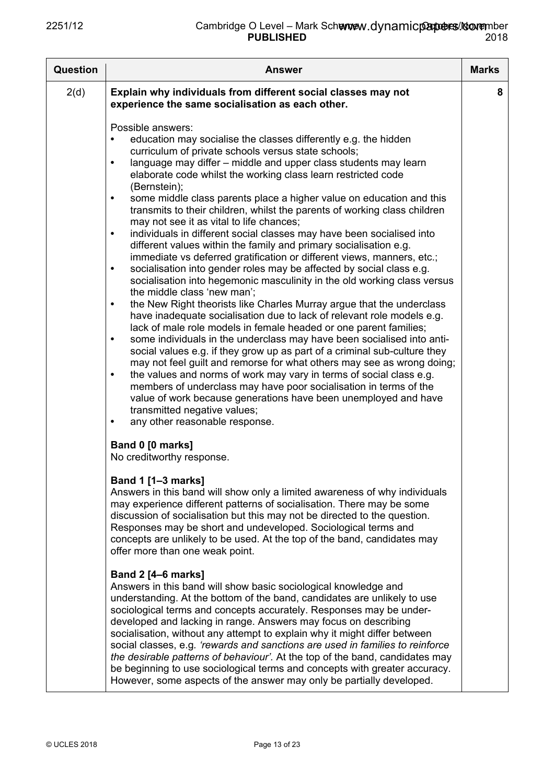| <b>Question</b> | <b>Answer</b>                                                                                                                                                                                                                                                                                                                                                                                                                                                                                                                                                                                                                                                                                                                                                                                                                                                                                                                                                                                                                                                                                                                             | <b>Marks</b> |
|-----------------|-------------------------------------------------------------------------------------------------------------------------------------------------------------------------------------------------------------------------------------------------------------------------------------------------------------------------------------------------------------------------------------------------------------------------------------------------------------------------------------------------------------------------------------------------------------------------------------------------------------------------------------------------------------------------------------------------------------------------------------------------------------------------------------------------------------------------------------------------------------------------------------------------------------------------------------------------------------------------------------------------------------------------------------------------------------------------------------------------------------------------------------------|--------------|
| 2(d)            | Explain why individuals from different social classes may not<br>experience the same socialisation as each other.<br>Possible answers:<br>education may socialise the classes differently e.g. the hidden<br>curriculum of private schools versus state schools;<br>language may differ – middle and upper class students may learn<br>$\bullet$<br>elaborate code whilst the working class learn restricted code<br>(Bernstein);<br>some middle class parents place a higher value on education and this<br>$\bullet$<br>transmits to their children, whilst the parents of working class children<br>may not see it as vital to life chances;<br>individuals in different social classes may have been socialised into<br>$\bullet$                                                                                                                                                                                                                                                                                                                                                                                                     | 8            |
|                 | different values within the family and primary socialisation e.g.<br>immediate vs deferred gratification or different views, manners, etc.;<br>socialisation into gender roles may be affected by social class e.g.<br>$\bullet$<br>socialisation into hegemonic masculinity in the old working class versus<br>the middle class 'new man';<br>the New Right theorists like Charles Murray argue that the underclass<br>$\bullet$<br>have inadequate socialisation due to lack of relevant role models e.g.<br>lack of male role models in female headed or one parent families;<br>some individuals in the underclass may have been socialised into anti-<br>$\bullet$<br>social values e.g. if they grow up as part of a criminal sub-culture they<br>may not feel guilt and remorse for what others may see as wrong doing;<br>the values and norms of work may vary in terms of social class e.g.<br>$\bullet$<br>members of underclass may have poor socialisation in terms of the<br>value of work because generations have been unemployed and have<br>transmitted negative values;<br>any other reasonable response.<br>$\bullet$ |              |
|                 | Band 0 [0 marks]<br>No creditworthy response.<br><b>Band 1 [1-3 marks]</b><br>Answers in this band will show only a limited awareness of why individuals<br>may experience different patterns of socialisation. There may be some<br>discussion of socialisation but this may not be directed to the question.<br>Responses may be short and undeveloped. Sociological terms and<br>concepts are unlikely to be used. At the top of the band, candidates may<br>offer more than one weak point.<br><b>Band 2 [4–6 marks]</b><br>Answers in this band will show basic sociological knowledge and                                                                                                                                                                                                                                                                                                                                                                                                                                                                                                                                           |              |
|                 | understanding. At the bottom of the band, candidates are unlikely to use<br>sociological terms and concepts accurately. Responses may be under-<br>developed and lacking in range. Answers may focus on describing<br>socialisation, without any attempt to explain why it might differ between<br>social classes, e.g. 'rewards and sanctions are used in families to reinforce<br>the desirable patterns of behaviour'. At the top of the band, candidates may<br>be beginning to use sociological terms and concepts with greater accuracy.<br>However, some aspects of the answer may only be partially developed.                                                                                                                                                                                                                                                                                                                                                                                                                                                                                                                    |              |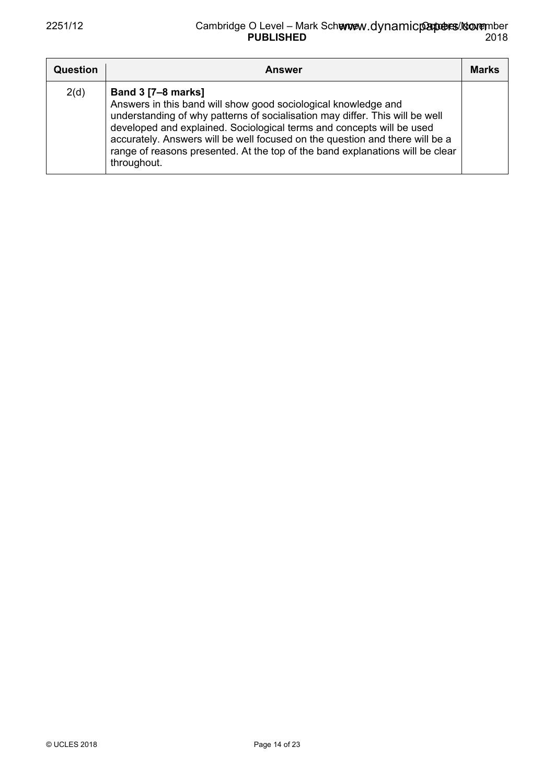| Question | <b>Answer</b>                                                                                                                                                                                                                                                                                                                                                                                                                        | <b>Marks</b> |
|----------|--------------------------------------------------------------------------------------------------------------------------------------------------------------------------------------------------------------------------------------------------------------------------------------------------------------------------------------------------------------------------------------------------------------------------------------|--------------|
| 2(d)     | <b>Band 3 [7-8 marks]</b><br>Answers in this band will show good sociological knowledge and<br>understanding of why patterns of socialisation may differ. This will be well<br>developed and explained. Sociological terms and concepts will be used<br>accurately. Answers will be well focused on the question and there will be a<br>range of reasons presented. At the top of the band explanations will be clear<br>throughout. |              |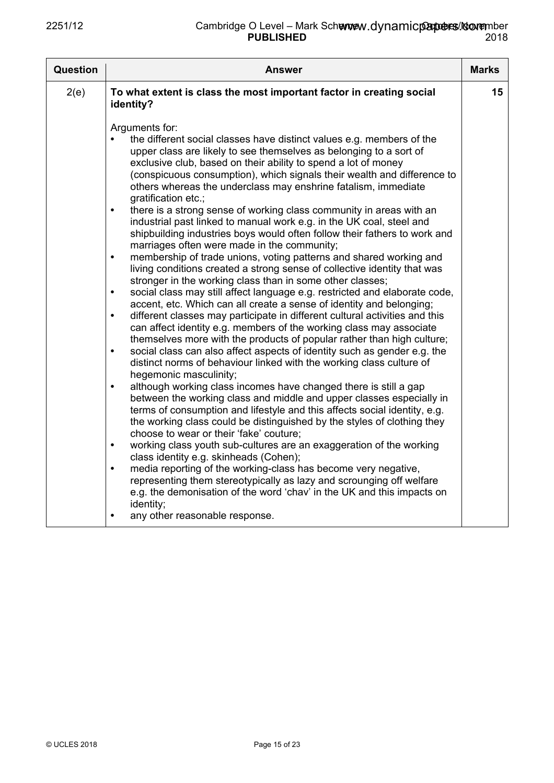| Question | <b>Answer</b>                                                                                                                                                                                                                                                                                                                                                                                                                                                                                                                                                                                                                                                                                                                                                                                                                                                                                                                                                                                                                                                                                                                                                                                                                                                                                                                                                                                                                                                                                                                                                                                                                                                                                                                                                                                                                                                                                                                                                                                                                                                                                                                                                                                                                                                                                                             | <b>Marks</b> |
|----------|---------------------------------------------------------------------------------------------------------------------------------------------------------------------------------------------------------------------------------------------------------------------------------------------------------------------------------------------------------------------------------------------------------------------------------------------------------------------------------------------------------------------------------------------------------------------------------------------------------------------------------------------------------------------------------------------------------------------------------------------------------------------------------------------------------------------------------------------------------------------------------------------------------------------------------------------------------------------------------------------------------------------------------------------------------------------------------------------------------------------------------------------------------------------------------------------------------------------------------------------------------------------------------------------------------------------------------------------------------------------------------------------------------------------------------------------------------------------------------------------------------------------------------------------------------------------------------------------------------------------------------------------------------------------------------------------------------------------------------------------------------------------------------------------------------------------------------------------------------------------------------------------------------------------------------------------------------------------------------------------------------------------------------------------------------------------------------------------------------------------------------------------------------------------------------------------------------------------------------------------------------------------------------------------------------------------------|--------------|
| 2(e)     | To what extent is class the most important factor in creating social<br>identity?                                                                                                                                                                                                                                                                                                                                                                                                                                                                                                                                                                                                                                                                                                                                                                                                                                                                                                                                                                                                                                                                                                                                                                                                                                                                                                                                                                                                                                                                                                                                                                                                                                                                                                                                                                                                                                                                                                                                                                                                                                                                                                                                                                                                                                         | 15           |
|          | Arguments for:<br>the different social classes have distinct values e.g. members of the<br>upper class are likely to see themselves as belonging to a sort of<br>exclusive club, based on their ability to spend a lot of money<br>(conspicuous consumption), which signals their wealth and difference to<br>others whereas the underclass may enshrine fatalism, immediate<br>gratification etc.;<br>there is a strong sense of working class community in areas with an<br>$\bullet$<br>industrial past linked to manual work e.g. in the UK coal, steel and<br>shipbuilding industries boys would often follow their fathers to work and<br>marriages often were made in the community;<br>membership of trade unions, voting patterns and shared working and<br>$\bullet$<br>living conditions created a strong sense of collective identity that was<br>stronger in the working class than in some other classes;<br>social class may still affect language e.g. restricted and elaborate code,<br>$\bullet$<br>accent, etc. Which can all create a sense of identity and belonging;<br>different classes may participate in different cultural activities and this<br>$\bullet$<br>can affect identity e.g. members of the working class may associate<br>themselves more with the products of popular rather than high culture;<br>social class can also affect aspects of identity such as gender e.g. the<br>$\bullet$<br>distinct norms of behaviour linked with the working class culture of<br>hegemonic masculinity;<br>although working class incomes have changed there is still a gap<br>$\bullet$<br>between the working class and middle and upper classes especially in<br>terms of consumption and lifestyle and this affects social identity, e.g.<br>the working class could be distinguished by the styles of clothing they<br>choose to wear or their 'fake' couture;<br>working class youth sub-cultures are an exaggeration of the working<br>$\bullet$<br>class identity e.g. skinheads (Cohen);<br>media reporting of the working-class has become very negative,<br>$\bullet$<br>representing them stereotypically as lazy and scrounging off welfare<br>e.g. the demonisation of the word 'chav' in the UK and this impacts on<br>identity;<br>any other reasonable response.<br>$\bullet$ |              |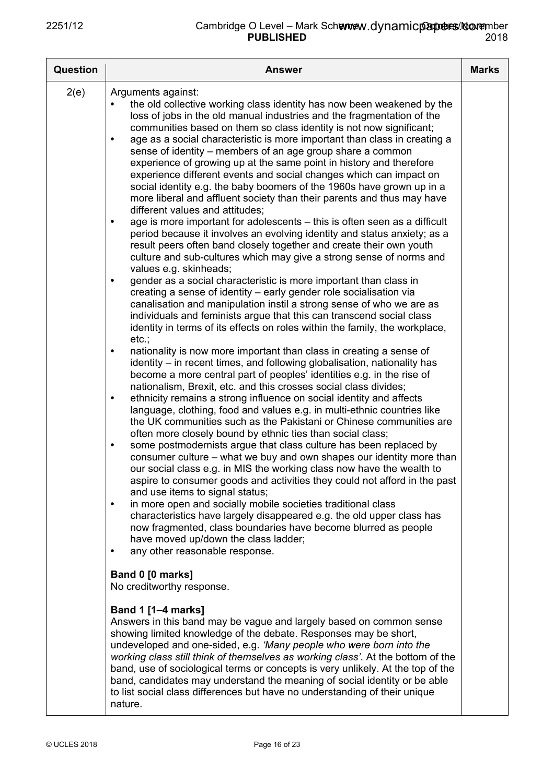| <b>Question</b> | <b>Answer</b>                                                                                                                                                                                                                                                                                                                                                                                                                                                                                                                                                                                                                                                                                                                                                                                                                                                                                                                                                                                                                                                                                                                                                                                                                                                                                                                                                                                                                                                                                                                                                                                                                                                                                                                                                                                                                                                                                                                                                                                                                                                                                                                                                                                                                                                                                                                                                                                                                                                                                                                                                                                                                                                                                                                                                | <b>Marks</b> |
|-----------------|--------------------------------------------------------------------------------------------------------------------------------------------------------------------------------------------------------------------------------------------------------------------------------------------------------------------------------------------------------------------------------------------------------------------------------------------------------------------------------------------------------------------------------------------------------------------------------------------------------------------------------------------------------------------------------------------------------------------------------------------------------------------------------------------------------------------------------------------------------------------------------------------------------------------------------------------------------------------------------------------------------------------------------------------------------------------------------------------------------------------------------------------------------------------------------------------------------------------------------------------------------------------------------------------------------------------------------------------------------------------------------------------------------------------------------------------------------------------------------------------------------------------------------------------------------------------------------------------------------------------------------------------------------------------------------------------------------------------------------------------------------------------------------------------------------------------------------------------------------------------------------------------------------------------------------------------------------------------------------------------------------------------------------------------------------------------------------------------------------------------------------------------------------------------------------------------------------------------------------------------------------------------------------------------------------------------------------------------------------------------------------------------------------------------------------------------------------------------------------------------------------------------------------------------------------------------------------------------------------------------------------------------------------------------------------------------------------------------------------------------------------------|--------------|
| 2(e)            | Arguments against:<br>the old collective working class identity has now been weakened by the<br>loss of jobs in the old manual industries and the fragmentation of the<br>communities based on them so class identity is not now significant;<br>age as a social characteristic is more important than class in creating a<br>sense of identity – members of an age group share a common<br>experience of growing up at the same point in history and therefore<br>experience different events and social changes which can impact on<br>social identity e.g. the baby boomers of the 1960s have grown up in a<br>more liberal and affluent society than their parents and thus may have<br>different values and attitudes;<br>age is more important for adolescents - this is often seen as a difficult<br>$\bullet$<br>period because it involves an evolving identity and status anxiety; as a<br>result peers often band closely together and create their own youth<br>culture and sub-cultures which may give a strong sense of norms and<br>values e.g. skinheads;<br>gender as a social characteristic is more important than class in<br>$\bullet$<br>creating a sense of identity - early gender role socialisation via<br>canalisation and manipulation instil a strong sense of who we are as<br>individuals and feminists argue that this can transcend social class<br>identity in terms of its effects on roles within the family, the workplace,<br>etc.;<br>nationality is now more important than class in creating a sense of<br>$\bullet$<br>identity – in recent times, and following globalisation, nationality has<br>become a more central part of peoples' identities e.g. in the rise of<br>nationalism, Brexit, etc. and this crosses social class divides;<br>ethnicity remains a strong influence on social identity and affects<br>$\bullet$<br>language, clothing, food and values e.g. in multi-ethnic countries like<br>the UK communities such as the Pakistani or Chinese communities are<br>often more closely bound by ethnic ties than social class;<br>some postmodernists argue that class culture has been replaced by<br>$\bullet$<br>consumer culture – what we buy and own shapes our identity more than<br>our social class e.g. in MIS the working class now have the wealth to<br>aspire to consumer goods and activities they could not afford in the past<br>and use items to signal status;<br>in more open and socially mobile societies traditional class<br>$\bullet$<br>characteristics have largely disappeared e.g. the old upper class has<br>now fragmented, class boundaries have become blurred as people<br>have moved up/down the class ladder;<br>any other reasonable response.<br>$\bullet$ |              |
|                 | Band 0 [0 marks]<br>No creditworthy response.                                                                                                                                                                                                                                                                                                                                                                                                                                                                                                                                                                                                                                                                                                                                                                                                                                                                                                                                                                                                                                                                                                                                                                                                                                                                                                                                                                                                                                                                                                                                                                                                                                                                                                                                                                                                                                                                                                                                                                                                                                                                                                                                                                                                                                                                                                                                                                                                                                                                                                                                                                                                                                                                                                                |              |
|                 | <b>Band 1 [1–4 marks]</b><br>Answers in this band may be vague and largely based on common sense<br>showing limited knowledge of the debate. Responses may be short,<br>undeveloped and one-sided, e.g. 'Many people who were born into the<br>working class still think of themselves as working class'. At the bottom of the<br>band, use of sociological terms or concepts is very unlikely. At the top of the<br>band, candidates may understand the meaning of social identity or be able<br>to list social class differences but have no understanding of their unique<br>nature.                                                                                                                                                                                                                                                                                                                                                                                                                                                                                                                                                                                                                                                                                                                                                                                                                                                                                                                                                                                                                                                                                                                                                                                                                                                                                                                                                                                                                                                                                                                                                                                                                                                                                                                                                                                                                                                                                                                                                                                                                                                                                                                                                                      |              |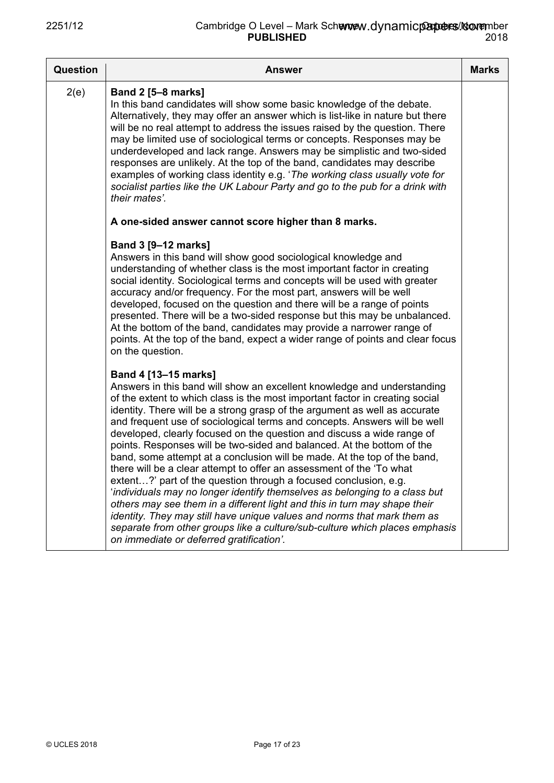| Question | <b>Answer</b>                                                                                                                                                                                                                                                                                                                                                                                                                                                                                                                                                                                                                                                                                                                                                                                                                                                                                                                                                                                                                                                                           | <b>Marks</b> |
|----------|-----------------------------------------------------------------------------------------------------------------------------------------------------------------------------------------------------------------------------------------------------------------------------------------------------------------------------------------------------------------------------------------------------------------------------------------------------------------------------------------------------------------------------------------------------------------------------------------------------------------------------------------------------------------------------------------------------------------------------------------------------------------------------------------------------------------------------------------------------------------------------------------------------------------------------------------------------------------------------------------------------------------------------------------------------------------------------------------|--------------|
| 2(e)     | <b>Band 2 [5-8 marks]</b><br>In this band candidates will show some basic knowledge of the debate.<br>Alternatively, they may offer an answer which is list-like in nature but there<br>will be no real attempt to address the issues raised by the question. There<br>may be limited use of sociological terms or concepts. Responses may be<br>underdeveloped and lack range. Answers may be simplistic and two-sided<br>responses are unlikely. At the top of the band, candidates may describe<br>examples of working class identity e.g. 'The working class usually vote for<br>socialist parties like the UK Labour Party and go to the pub for a drink with<br>their mates'.                                                                                                                                                                                                                                                                                                                                                                                                     |              |
|          | A one-sided answer cannot score higher than 8 marks.                                                                                                                                                                                                                                                                                                                                                                                                                                                                                                                                                                                                                                                                                                                                                                                                                                                                                                                                                                                                                                    |              |
|          | Band 3 [9-12 marks]<br>Answers in this band will show good sociological knowledge and<br>understanding of whether class is the most important factor in creating<br>social identity. Sociological terms and concepts will be used with greater<br>accuracy and/or frequency. For the most part, answers will be well<br>developed, focused on the question and there will be a range of points<br>presented. There will be a two-sided response but this may be unbalanced.<br>At the bottom of the band, candidates may provide a narrower range of<br>points. At the top of the band, expect a wider range of points and clear focus<br>on the question.                                                                                                                                                                                                                                                                                                                                                                                                                              |              |
|          | Band 4 [13-15 marks]<br>Answers in this band will show an excellent knowledge and understanding<br>of the extent to which class is the most important factor in creating social<br>identity. There will be a strong grasp of the argument as well as accurate<br>and frequent use of sociological terms and concepts. Answers will be well<br>developed, clearly focused on the question and discuss a wide range of<br>points. Responses will be two-sided and balanced. At the bottom of the<br>band, some attempt at a conclusion will be made. At the top of the band,<br>there will be a clear attempt to offer an assessment of the 'To what<br>extent?' part of the question through a focused conclusion, e.g.<br>'individuals may no longer identify themselves as belonging to a class but<br>others may see them in a different light and this in turn may shape their<br>identity. They may still have unique values and norms that mark them as<br>separate from other groups like a culture/sub-culture which places emphasis<br>on immediate or deferred gratification'. |              |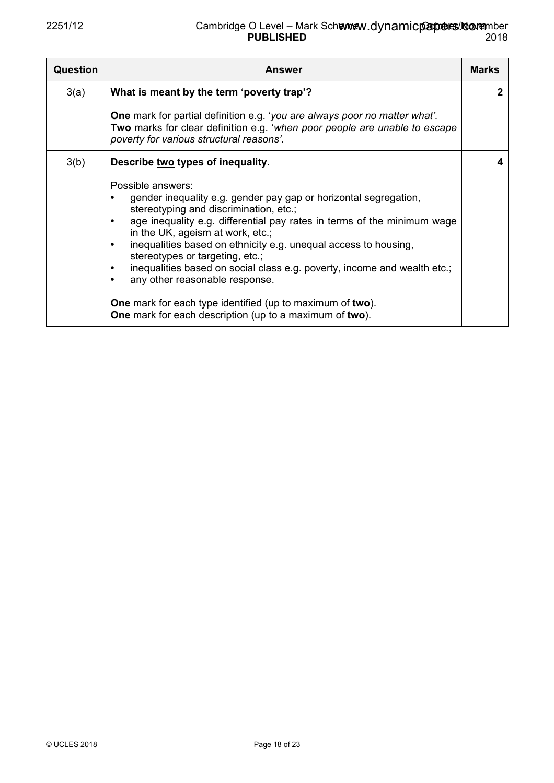| <b>Question</b> | <b>Answer</b>                                                                                                                                                                                                                                                                                                                                                                                                                                                                                                                                                                                          | <b>Marks</b> |
|-----------------|--------------------------------------------------------------------------------------------------------------------------------------------------------------------------------------------------------------------------------------------------------------------------------------------------------------------------------------------------------------------------------------------------------------------------------------------------------------------------------------------------------------------------------------------------------------------------------------------------------|--------------|
| 3(a)            | What is meant by the term 'poverty trap'?                                                                                                                                                                                                                                                                                                                                                                                                                                                                                                                                                              | $\mathbf{2}$ |
|                 | <b>One</b> mark for partial definition e.g. 'you are always poor no matter what'.<br><b>Two</b> marks for clear definition e.g. 'when poor people are unable to escape<br>poverty for various structural reasons'.                                                                                                                                                                                                                                                                                                                                                                                     |              |
| 3(b)            | Describe two types of inequality.                                                                                                                                                                                                                                                                                                                                                                                                                                                                                                                                                                      |              |
|                 | Possible answers:<br>gender inequality e.g. gender pay gap or horizontal segregation,<br>stereotyping and discrimination, etc.;<br>age inequality e.g. differential pay rates in terms of the minimum wage<br>in the UK, ageism at work, etc.;<br>inequalities based on ethnicity e.g. unequal access to housing,<br>stereotypes or targeting, etc.;<br>inequalities based on social class e.g. poverty, income and wealth etc.;<br>٠<br>any other reasonable response.<br><b>One</b> mark for each type identified (up to maximum of two).<br>One mark for each description (up to a maximum of two). |              |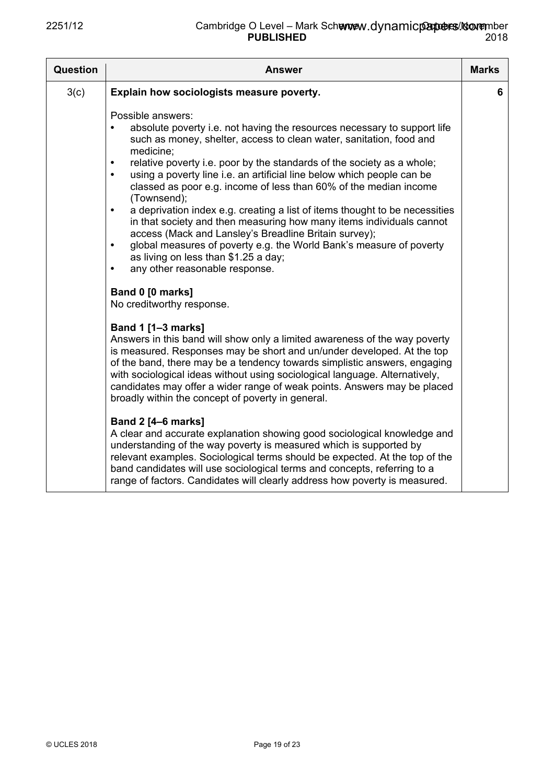| <b>Question</b> | <b>Answer</b>                                                                                                                                                                                                                                                                                                                                                                                                                                                                                                                                                                                                                                                                                                                                                                                                                                                            | <b>Marks</b> |
|-----------------|--------------------------------------------------------------------------------------------------------------------------------------------------------------------------------------------------------------------------------------------------------------------------------------------------------------------------------------------------------------------------------------------------------------------------------------------------------------------------------------------------------------------------------------------------------------------------------------------------------------------------------------------------------------------------------------------------------------------------------------------------------------------------------------------------------------------------------------------------------------------------|--------------|
| 3(c)            | Explain how sociologists measure poverty.                                                                                                                                                                                                                                                                                                                                                                                                                                                                                                                                                                                                                                                                                                                                                                                                                                | 6            |
|                 | Possible answers:<br>absolute poverty i.e. not having the resources necessary to support life<br>$\bullet$<br>such as money, shelter, access to clean water, sanitation, food and<br>medicine;<br>relative poverty i.e. poor by the standards of the society as a whole;<br>$\bullet$<br>using a poverty line i.e. an artificial line below which people can be<br>$\bullet$<br>classed as poor e.g. income of less than 60% of the median income<br>(Townsend);<br>a deprivation index e.g. creating a list of items thought to be necessities<br>$\bullet$<br>in that society and then measuring how many items individuals cannot<br>access (Mack and Lansley's Breadline Britain survey);<br>global measures of poverty e.g. the World Bank's measure of poverty<br>$\bullet$<br>as living on less than \$1.25 a day;<br>any other reasonable response.<br>$\bullet$ |              |
|                 | Band 0 [0 marks]<br>No creditworthy response.                                                                                                                                                                                                                                                                                                                                                                                                                                                                                                                                                                                                                                                                                                                                                                                                                            |              |
|                 | <b>Band 1 [1-3 marks]</b><br>Answers in this band will show only a limited awareness of the way poverty<br>is measured. Responses may be short and un/under developed. At the top<br>of the band, there may be a tendency towards simplistic answers, engaging<br>with sociological ideas without using sociological language. Alternatively,<br>candidates may offer a wider range of weak points. Answers may be placed<br>broadly within the concept of poverty in general.                                                                                                                                                                                                                                                                                                                                                                                           |              |
|                 | <b>Band 2 [4-6 marks]</b><br>A clear and accurate explanation showing good sociological knowledge and<br>understanding of the way poverty is measured which is supported by<br>relevant examples. Sociological terms should be expected. At the top of the<br>band candidates will use sociological terms and concepts, referring to a<br>range of factors. Candidates will clearly address how poverty is measured.                                                                                                                                                                                                                                                                                                                                                                                                                                                     |              |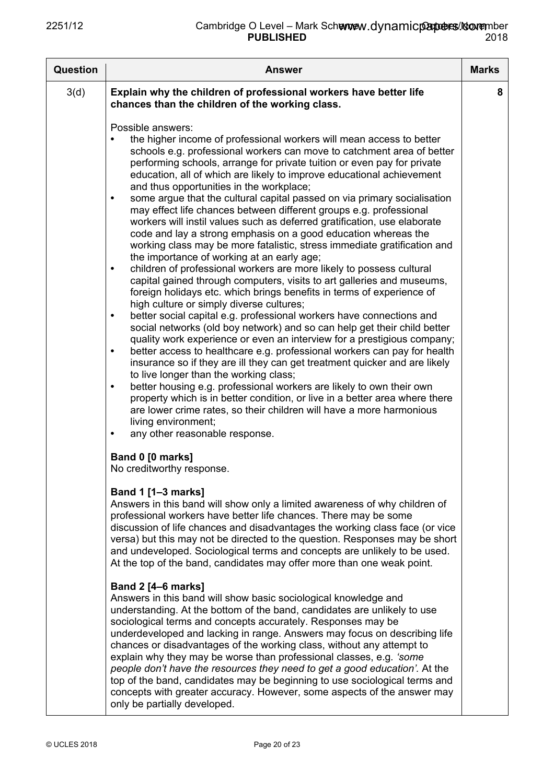| <b>Question</b> | <b>Answer</b>                                                                                                                                                                                                                                                                                                                                                                                                                                                                                                                                                                                                                                                                                                                                                                                                                                                                                                                                                                                                                                                                                                                                                                                                                                                                                                                                                                                                                                                                                                                                                                                                                                                                                                                                                                                                                                                                                                                                                                                                             | <b>Marks</b> |
|-----------------|---------------------------------------------------------------------------------------------------------------------------------------------------------------------------------------------------------------------------------------------------------------------------------------------------------------------------------------------------------------------------------------------------------------------------------------------------------------------------------------------------------------------------------------------------------------------------------------------------------------------------------------------------------------------------------------------------------------------------------------------------------------------------------------------------------------------------------------------------------------------------------------------------------------------------------------------------------------------------------------------------------------------------------------------------------------------------------------------------------------------------------------------------------------------------------------------------------------------------------------------------------------------------------------------------------------------------------------------------------------------------------------------------------------------------------------------------------------------------------------------------------------------------------------------------------------------------------------------------------------------------------------------------------------------------------------------------------------------------------------------------------------------------------------------------------------------------------------------------------------------------------------------------------------------------------------------------------------------------------------------------------------------------|--------------|
| 3(d)            | Explain why the children of professional workers have better life<br>chances than the children of the working class.<br>Possible answers:<br>the higher income of professional workers will mean access to better<br>schools e.g. professional workers can move to catchment area of better<br>performing schools, arrange for private tuition or even pay for private<br>education, all of which are likely to improve educational achievement<br>and thus opportunities in the workplace;<br>some argue that the cultural capital passed on via primary socialisation<br>$\bullet$<br>may effect life chances between different groups e.g. professional<br>workers will instil values such as deferred gratification, use elaborate<br>code and lay a strong emphasis on a good education whereas the<br>working class may be more fatalistic, stress immediate gratification and<br>the importance of working at an early age;<br>children of professional workers are more likely to possess cultural<br>$\bullet$<br>capital gained through computers, visits to art galleries and museums,<br>foreign holidays etc. which brings benefits in terms of experience of<br>high culture or simply diverse cultures;<br>better social capital e.g. professional workers have connections and<br>$\bullet$<br>social networks (old boy network) and so can help get their child better<br>quality work experience or even an interview for a prestigious company;<br>better access to healthcare e.g. professional workers can pay for health<br>$\bullet$<br>insurance so if they are ill they can get treatment quicker and are likely<br>to live longer than the working class;<br>better housing e.g. professional workers are likely to own their own<br>$\bullet$<br>property which is in better condition, or live in a better area where there<br>are lower crime rates, so their children will have a more harmonious<br>living environment;<br>any other reasonable response.<br>$\bullet$<br>Band 0 [0 marks] | 8            |
|                 | No creditworthy response.<br>Band 1 [1-3 marks]<br>Answers in this band will show only a limited awareness of why children of<br>professional workers have better life chances. There may be some<br>discussion of life chances and disadvantages the working class face (or vice<br>versa) but this may not be directed to the question. Responses may be short<br>and undeveloped. Sociological terms and concepts are unlikely to be used.<br>At the top of the band, candidates may offer more than one weak point.<br><b>Band 2 [4–6 marks]</b><br>Answers in this band will show basic sociological knowledge and<br>understanding. At the bottom of the band, candidates are unlikely to use<br>sociological terms and concepts accurately. Responses may be<br>underdeveloped and lacking in range. Answers may focus on describing life<br>chances or disadvantages of the working class, without any attempt to<br>explain why they may be worse than professional classes, e.g. 'some<br>people don't have the resources they need to get a good education'. At the<br>top of the band, candidates may be beginning to use sociological terms and<br>concepts with greater accuracy. However, some aspects of the answer may<br>only be partially developed.                                                                                                                                                                                                                                                                                                                                                                                                                                                                                                                                                                                                                                                                                                                                                   |              |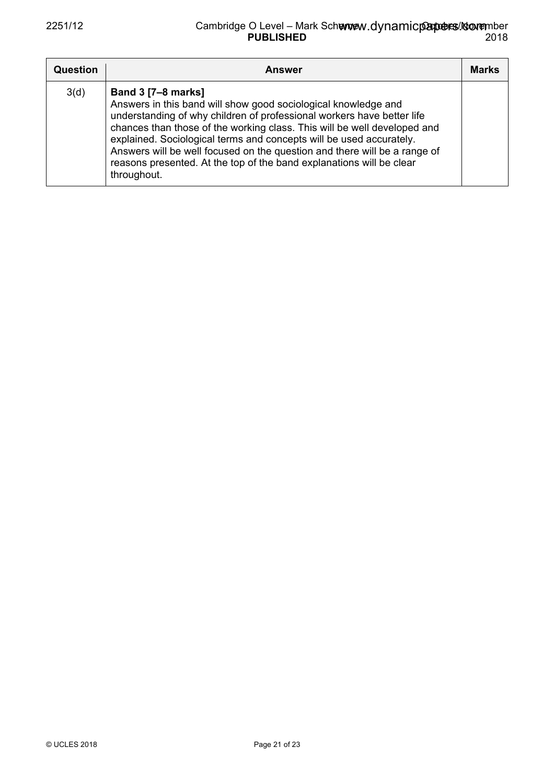| Question | Answer                                                                                                                                                                                                                                                                                                                                                                                                                                                                                       | <b>Marks</b> |
|----------|----------------------------------------------------------------------------------------------------------------------------------------------------------------------------------------------------------------------------------------------------------------------------------------------------------------------------------------------------------------------------------------------------------------------------------------------------------------------------------------------|--------------|
| 3(d)     | <b>Band 3 [7-8 marks]</b><br>Answers in this band will show good sociological knowledge and<br>understanding of why children of professional workers have better life<br>chances than those of the working class. This will be well developed and<br>explained. Sociological terms and concepts will be used accurately.<br>Answers will be well focused on the question and there will be a range of<br>reasons presented. At the top of the band explanations will be clear<br>throughout. |              |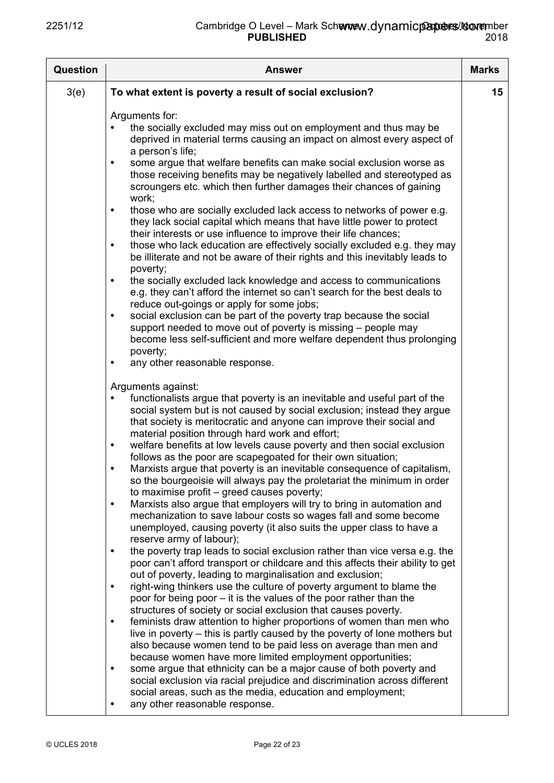| <b>Question</b> | <b>Answer</b>                                                                                                                                                                                                                                                                                                                                                                                                                                                                                                                                                                                                                                                                                                                                                                                                                                                                                                                                                                                                                                                                                                                                                                                                                                                                                                                                                                                                                                                                                                                                                                                                                                                                                                                                                                                                                                                                                                                                                                                                                                                                                                                                                                                                                                                                                                                                                                                                                                                                                                                                                                                                                                                                                                                                                                                                                                                                                                                                                                                                                                                                                                                                                                                                    | <b>Marks</b> |
|-----------------|------------------------------------------------------------------------------------------------------------------------------------------------------------------------------------------------------------------------------------------------------------------------------------------------------------------------------------------------------------------------------------------------------------------------------------------------------------------------------------------------------------------------------------------------------------------------------------------------------------------------------------------------------------------------------------------------------------------------------------------------------------------------------------------------------------------------------------------------------------------------------------------------------------------------------------------------------------------------------------------------------------------------------------------------------------------------------------------------------------------------------------------------------------------------------------------------------------------------------------------------------------------------------------------------------------------------------------------------------------------------------------------------------------------------------------------------------------------------------------------------------------------------------------------------------------------------------------------------------------------------------------------------------------------------------------------------------------------------------------------------------------------------------------------------------------------------------------------------------------------------------------------------------------------------------------------------------------------------------------------------------------------------------------------------------------------------------------------------------------------------------------------------------------------------------------------------------------------------------------------------------------------------------------------------------------------------------------------------------------------------------------------------------------------------------------------------------------------------------------------------------------------------------------------------------------------------------------------------------------------------------------------------------------------------------------------------------------------------------------------------------------------------------------------------------------------------------------------------------------------------------------------------------------------------------------------------------------------------------------------------------------------------------------------------------------------------------------------------------------------------------------------------------------------------------------------------------------------|--------------|
| 3(e)            | To what extent is poverty a result of social exclusion?                                                                                                                                                                                                                                                                                                                                                                                                                                                                                                                                                                                                                                                                                                                                                                                                                                                                                                                                                                                                                                                                                                                                                                                                                                                                                                                                                                                                                                                                                                                                                                                                                                                                                                                                                                                                                                                                                                                                                                                                                                                                                                                                                                                                                                                                                                                                                                                                                                                                                                                                                                                                                                                                                                                                                                                                                                                                                                                                                                                                                                                                                                                                                          | $15\,$       |
|                 | Arguments for:<br>the socially excluded may miss out on employment and thus may be<br>deprived in material terms causing an impact on almost every aspect of<br>a person's life;<br>some argue that welfare benefits can make social exclusion worse as<br>$\bullet$<br>those receiving benefits may be negatively labelled and stereotyped as<br>scroungers etc. which then further damages their chances of gaining<br>work;<br>those who are socially excluded lack access to networks of power e.g.<br>$\bullet$<br>they lack social capital which means that have little power to protect<br>their interests or use influence to improve their life chances;<br>those who lack education are effectively socially excluded e.g. they may<br>٠<br>be illiterate and not be aware of their rights and this inevitably leads to<br>poverty;<br>the socially excluded lack knowledge and access to communications<br>$\bullet$<br>e.g. they can't afford the internet so can't search for the best deals to<br>reduce out-goings or apply for some jobs;<br>social exclusion can be part of the poverty trap because the social<br>$\bullet$<br>support needed to move out of poverty is missing – people may<br>become less self-sufficient and more welfare dependent thus prolonging<br>poverty;<br>any other reasonable response.<br>٠<br>Arguments against:<br>functionalists argue that poverty is an inevitable and useful part of the<br>social system but is not caused by social exclusion; instead they argue<br>that society is meritocratic and anyone can improve their social and<br>material position through hard work and effort;<br>welfare benefits at low levels cause poverty and then social exclusion<br>$\bullet$<br>follows as the poor are scapegoated for their own situation;<br>Marxists argue that poverty is an inevitable consequence of capitalism,<br>so the bourgeoisie will always pay the proletariat the minimum in order<br>to maximise profit – greed causes poverty;<br>Marxists also argue that employers will try to bring in automation and<br>$\bullet$<br>mechanization to save labour costs so wages fall and some become<br>unemployed, causing poverty (it also suits the upper class to have a<br>reserve army of labour);<br>the poverty trap leads to social exclusion rather than vice versa e.g. the<br>$\bullet$<br>poor can't afford transport or childcare and this affects their ability to get<br>out of poverty, leading to marginalisation and exclusion;<br>right-wing thinkers use the culture of poverty argument to blame the<br>$\bullet$<br>poor for being poor – it is the values of the poor rather than the<br>structures of society or social exclusion that causes poverty.<br>feminists draw attention to higher proportions of women than men who<br>$\bullet$<br>live in poverty – this is partly caused by the poverty of lone mothers but<br>also because women tend to be paid less on average than men and<br>because women have more limited employment opportunities;<br>some argue that ethnicity can be a major cause of both poverty and<br>٠<br>social exclusion via racial prejudice and discrimination across different |              |
|                 | social areas, such as the media, education and employment;<br>any other reasonable response.<br>٠                                                                                                                                                                                                                                                                                                                                                                                                                                                                                                                                                                                                                                                                                                                                                                                                                                                                                                                                                                                                                                                                                                                                                                                                                                                                                                                                                                                                                                                                                                                                                                                                                                                                                                                                                                                                                                                                                                                                                                                                                                                                                                                                                                                                                                                                                                                                                                                                                                                                                                                                                                                                                                                                                                                                                                                                                                                                                                                                                                                                                                                                                                                |              |